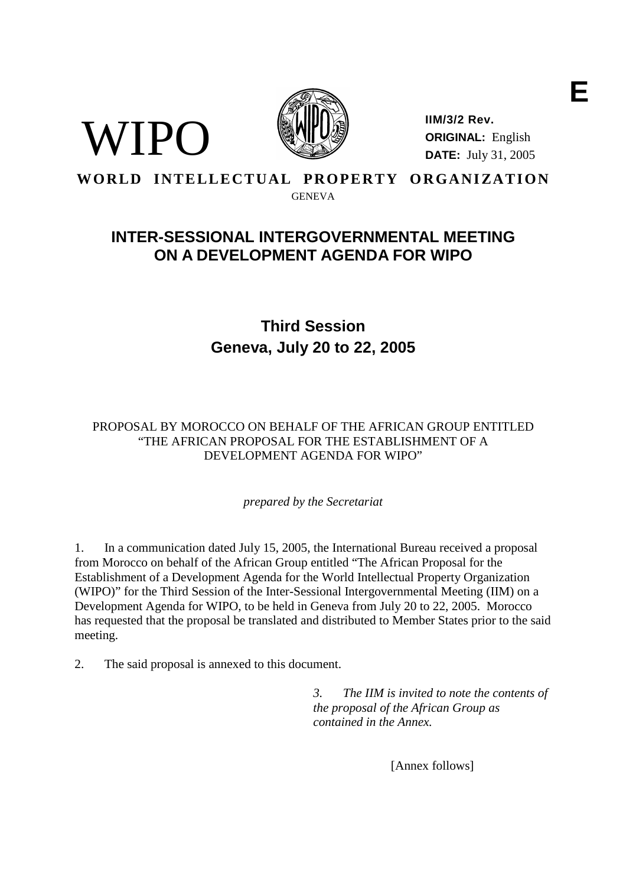



**IIM/3/2 Rev. ORIGINAL:** English **DATE:** July 31, 2005

WORLD INTELLECTUAL PROPERTY ORGANIZATION

GENEVA

# **INTER-SESSIONAL INTERGOVERNMENTAL MEETING ON A DEVELOPMENT AGENDA FOR WIPO**

# **Third Session Geneva, July 20 to 22, 2005**

## PROPOSAL BY MOROCCO ON BEHALF OF THE AFRICAN GROUP ENTITLED "THE AFRICAN PROPOSAL FOR THE ESTABLISHMENT OF A DEVELOPMENT AGENDA FOR WIPO"

*prepared by the Secretariat*

1. In a communication dated July 15, 2005, the International Bureau received a proposal from Morocco on behalf of the African Group entitled "The African Proposal for the Establishment of a Development Agenda for the World Intellectual Property Organization (WIPO)" for the Third Session of the Inter-Sessional Intergovernmental Meeting (IIM) on a Development Agenda for WIPO, to be held in Geneva from July 20 to 22, 2005. Morocco has requested that the proposal be translated and distributed to Member States prior to the said meeting.

2. The said proposal is annexed to this document.

*3. The IIM is invited to note the contents of the proposal of the African Group as contained in the Annex.*

[Annex follows]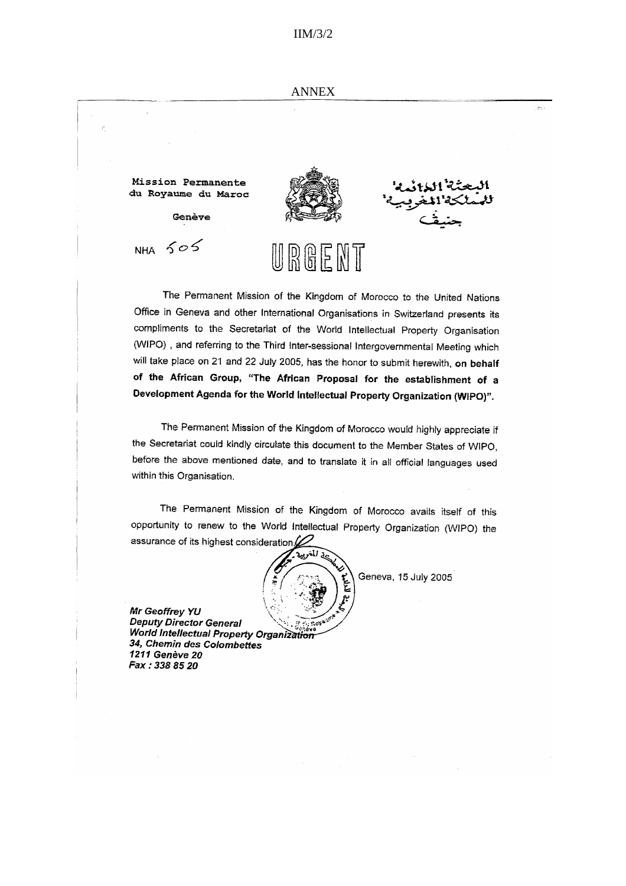#### IIM/3/2

ويأتيها



The Permanent Mission of the Kingdom of Morocco to the United Nations Office in Geneva and other International Organisations in Switzerland presents its compliments to the Secretariat of the World Intellectual Property Organisation (WIPO), and referring to the Third Inter-sessional Intergovernmental Meeting which will take place on 21 and 22 July 2005, has the honor to submit herewith, on behalf of the African Group, "The African Proposal for the establishment of a Development Agenda for the World Intellectual Property Organization (WIPO)".

The Permanent Mission of the Kingdom of Morocco would highly appreciate if the Secretariat could kindly circulate this document to the Member States of WIPO, before the above mentioned date, and to translate it in all official languages used within this Organisation.

The Permanent Mission of the Kingdom of Morocco avails itself of this opportunity to renew to the World Intellectual Property Organization (WIPO) the assurance of its highest consideration



Mr Geoffrey YU **Deputy Director General** World Intellectual Property Organization 34, Chemin des Colombettes 1211 Genève 20 Fax: 338 85 20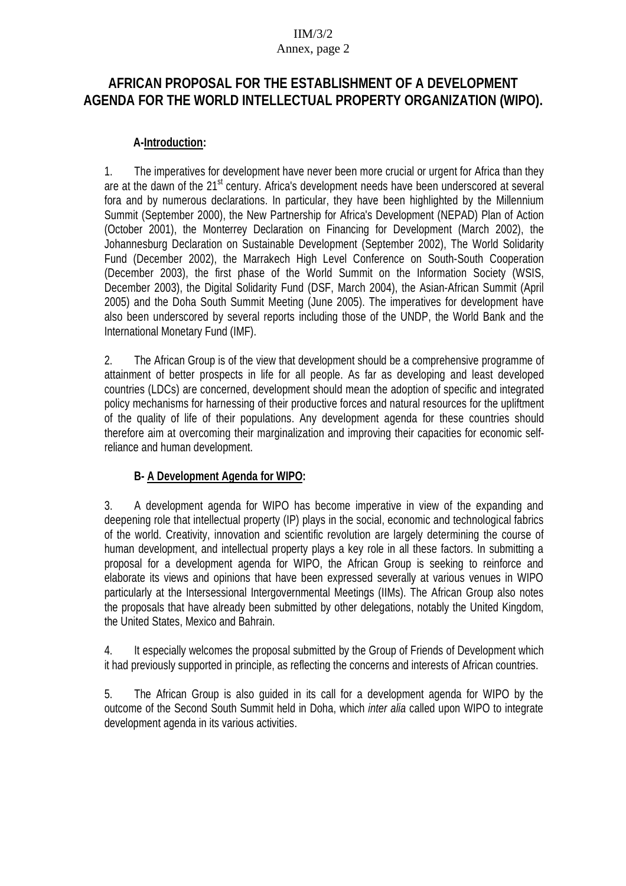## IIM/3/2 Annex, page 2

# **AFRICAN PROPOSAL FOR THE ESTABLISHMENT OF A DEVELOPMENT AGENDA FOR THE WORLD INTELLECTUAL PROPERTY ORGANIZATION (WIPO).**

## **A-Introduction:**

1. The imperatives for development have never been more crucial or urgent for Africa than they are at the dawn of the 21<sup>st</sup> century. Africa's development needs have been underscored at several fora and by numerous declarations. In particular, they have been highlighted by the Millennium Summit (September 2000), the New Partnership for Africa's Development (NEPAD) Plan of Action (October 2001), the Monterrey Declaration on Financing for Development (March 2002), the Johannesburg Declaration on Sustainable Development (September 2002), The World Solidarity Fund (December 2002), the Marrakech High Level Conference on South-South Cooperation (December 2003), the first phase of the World Summit on the Information Society (WSIS, December 2003), the Digital Solidarity Fund (DSF, March 2004), the Asian-African Summit (April 2005) and the Doha South Summit Meeting (June 2005). The imperatives for development have also been underscored by several reports including those of the UNDP, the World Bank and the International Monetary Fund (IMF).

2. The African Group is of the view that development should be a comprehensive programme of attainment of better prospects in life for all people. As far as developing and least developed countries (LDCs) are concerned, development should mean the adoption of specific and integrated policy mechanisms for harnessing of their productive forces and natural resources for the upliftment of the quality of life of their populations. Any development agenda for these countries should therefore aim at overcoming their marginalization and improving their capacities for economic selfreliance and human development.

# **B- A Development Agenda for WIPO:**

3. A development agenda for WIPO has become imperative in view of the expanding and deepening role that intellectual property (IP) plays in the social, economic and technological fabrics of the world. Creativity, innovation and scientific revolution are largely determining the course of human development, and intellectual property plays a key role in all these factors. In submitting a proposal for a development agenda for WIPO, the African Group is seeking to reinforce and elaborate its views and opinions that have been expressed severally at various venues in WIPO particularly at the Intersessional Intergovernmental Meetings (IIMs). The African Group also notes the proposals that have already been submitted by other delegations, notably the United Kingdom, the United States, Mexico and Bahrain.

4. It especially welcomes the proposal submitted by the Group of Friends of Development which it had previously supported in principle, as reflecting the concerns and interests of African countries.

5. The African Group is also guided in its call for a development agenda for WIPO by the outcome of the Second South Summit held in Doha, which inter alia called upon WIPO to integrate development agenda in its various activities.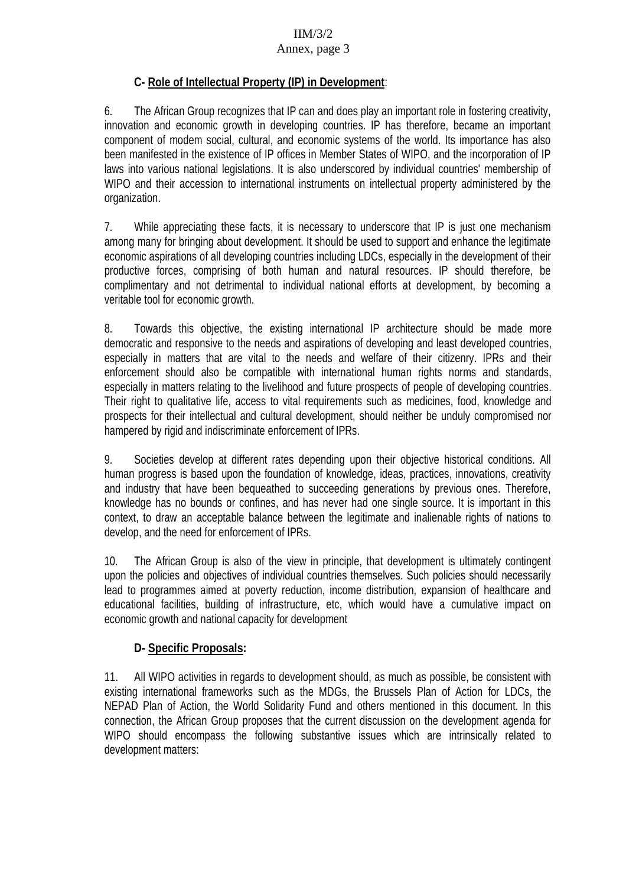# IIM/3/2

### Annex, page 3

# **C- Role of Intellectual Property (IP) in Development**:

6. The African Group recognizes that IP can and does play an important role in fostering creativity, innovation and economic growth in developing countries. IP has therefore, became an important component of modem social, cultural, and economic systems of the world. Its importance has also been manifested in the existence of IP offices in Member States of WIPO, and the incorporation of IP laws into various national legislations. It is also underscored by individual countries' membership of WIPO and their accession to international instruments on intellectual property administered by the organization.

7. While appreciating these facts, it is necessary to underscore that IP is just one mechanism among many for bringing about development. It should be used to support and enhance the legitimate economic aspirations of all developing countries including LDCs, especially in the development of their productive forces, comprising of both human and natural resources. IP should therefore, be complimentary and not detrimental to individual national efforts at development, by becoming a veritable tool for economic growth.

8. Towards this objective, the existing international IP architecture should be made more democratic and responsive to the needs and aspirations of developing and least developed countries, especially in matters that are vital to the needs and welfare of their citizenry. IPRs and their enforcement should also be compatible with international human rights norms and standards, especially in matters relating to the livelihood and future prospects of people of developing countries. Their right to qualitative life, access to vital requirements such as medicines, food, knowledge and prospects for their intellectual and cultural development, should neither be unduly compromised nor hampered by rigid and indiscriminate enforcement of IPRs.

9. Societies develop at different rates depending upon their objective historical conditions. All human progress is based upon the foundation of knowledge, ideas, practices, innovations, creativity and industry that have been bequeathed to succeeding generations by previous ones. Therefore, knowledge has no bounds or confines, and has never had one single source. It is important in this context, to draw an acceptable balance between the legitimate and inalienable rights of nations to develop, and the need for enforcement of IPRs.

10. The African Group is also of the view in principle, that development is ultimately contingent upon the policies and objectives of individual countries themselves. Such policies should necessarily lead to programmes aimed at poverty reduction, income distribution, expansion of healthcare and educational facilities, building of infrastructure, etc, which would have a cumulative impact on economic growth and national capacity for development

# **D- Specific Proposals:**

11. All WIPO activities in regards to development should, as much as possible, be consistent with existing international frameworks such as the MDGs, the Brussels Plan of Action for LDCs, the NEPAD Plan of Action, the World Solidarity Fund and others mentioned in this document. In this connection, the African Group proposes that the current discussion on the development agenda for WIPO should encompass the following substantive issues which are intrinsically related to development matters: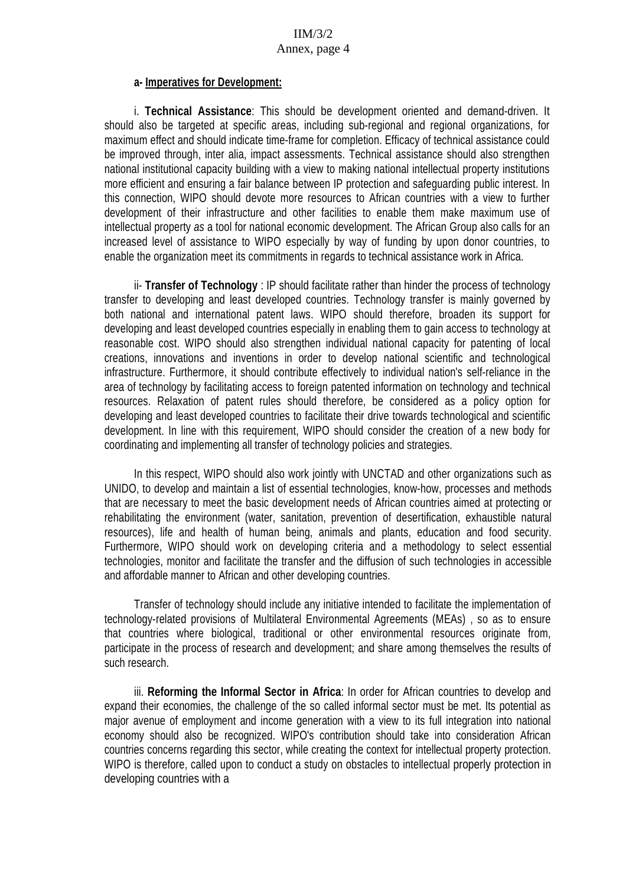#### **a- Imperatives for Development:**

i. **Technical Assistance**: This should be development oriented and demand-driven. It should also be targeted at specific areas, including sub-regional and regional organizations, for maximum effect and should indicate time-frame for completion. Efficacy of technical assistance could be improved through, inter alia, impact assessments. Technical assistance should also strengthen national institutional capacity building with a view to making national intellectual property institutions more efficient and ensuring a fair balance between IP protection and safeguarding public interest. In this connection, WIPO should devote more resources to African countries with a view to further development of their infrastructure and other facilities to enable them make maximum use of intellectual property as a tool for national economic development. The African Group also calls for an increased level of assistance to WIPO especially by way of funding by upon donor countries, to enable the organization meet its commitments in regards to technical assistance work in Africa.

ii- **Transfer of Technology** : IP should facilitate rather than hinder the process of technology transfer to developing and least developed countries. Technology transfer is mainly governed by both national and international patent laws. WIPO should therefore, broaden its support for developing and least developed countries especially in enabling them to gain access to technology at reasonable cost. WIPO should also strengthen individual national capacity for patenting of local creations, innovations and inventions in order to develop national scientific and technological infrastructure. Furthermore, it should contribute effectively to individual nation's self-reliance in the area of technology by facilitating access to foreign patented information on technology and technical resources. Relaxation of patent rules should therefore, be considered as a policy option for developing and least developed countries to facilitate their drive towards technological and scientific development. In line with this requirement, WIPO should consider the creation of a new body for coordinating and implementing all transfer of technology policies and strategies.

In this respect, WIPO should also work jointly with UNCTAD and other organizations such as UNIDO, to develop and maintain a list of essential technologies, know-how, processes and methods that are necessary to meet the basic development needs of African countries aimed at protecting or rehabilitating the environment (water, sanitation, prevention of desertification, exhaustible natural resources), life and health of human being, animals and plants, education and food security. Furthermore, WIPO should work on developing criteria and a methodology to select essential technologies, monitor and facilitate the transfer and the diffusion of such technologies in accessible and affordable manner to African and other developing countries.

Transfer of technology should include any initiative intended to facilitate the implementation of technology-related provisions of Multilateral Environmental Agreements (MEAs) , so as to ensure that countries where biological, traditional or other environmental resources originate from, participate in the process of research and development; and share among themselves the results of such research.

iii. **Reforming the Informal Sector in Africa**: In order for African countries to develop and expand their economies, the challenge of the so called informal sector must be met. Its potential as major avenue of employment and income generation with a view to its full integration into national economy should also be recognized. WIPO's contribution should take into consideration African countries concerns regarding this sector, while creating the context for intellectual property protection. WIPO is therefore, called upon to conduct a study on obstacles to intellectual properly protection in developing countries with a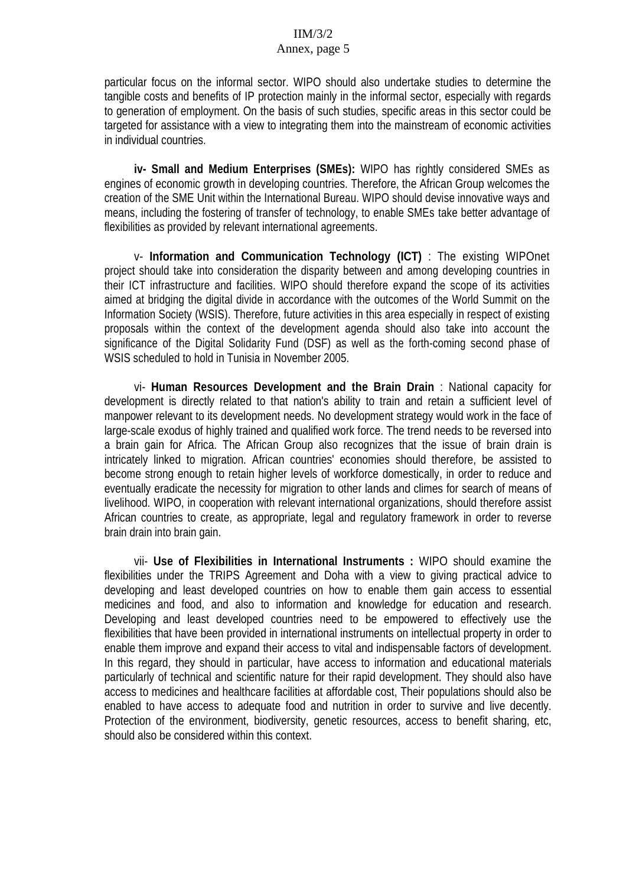#### IIM/3/2 Annex, page 5

particular focus on the informal sector. WIPO should also undertake studies to determine the tangible costs and benefits of IP protection mainly in the informal sector, especially with regards to generation of employment. On the basis of such studies, specific areas in this sector could be targeted for assistance with a view to integrating them into the mainstream of economic activities in individual countries.

**iv- Small and Medium Enterprises (SMEs):** WIPO has rightly considered SMEs as engines of economic growth in developing countries. Therefore, the African Group welcomes the creation of the SME Unit within the International Bureau. WIPO should devise innovative ways and means, including the fostering of transfer of technology, to enable SMEs take better advantage of flexibilities as provided by relevant international agreements.

v- **Information and Communication Technology (ICT)** : The existing WIPOnet project should take into consideration the disparity between and among developing countries in their ICT infrastructure and facilities. WIPO should therefore expand the scope of its activities aimed at bridging the digital divide in accordance with the outcomes of the World Summit on the Information Society (WSIS). Therefore, future activities in this area especially in respect of existing proposals within the context of the development agenda should also take into account the significance of the Digital Solidarity Fund (DSF) as well as the forth-coming second phase of WSIS scheduled to hold in Tunisia in November 2005.

vi- **Human Resources Development and the Brain Drain** : National capacity for development is directly related to that nation's ability to train and retain a sufficient level of manpower relevant to its development needs. No development strategy would work in the face of large-scale exodus of highly trained and qualified work force. The trend needs to be reversed into a brain gain for Africa. The African Group also recognizes that the issue of brain drain is intricately linked to migration. African countries' economies should therefore, be assisted to become strong enough to retain higher levels of workforce domestically, in order to reduce and eventually eradicate the necessity for migration to other lands and climes for search of means of livelihood. WIPO, in cooperation with relevant international organizations, should therefore assist African countries to create, as appropriate, legal and regulatory framework in order to reverse brain drain into brain gain.

vii- **Use of Flexibilities in International Instruments :** WIPO should examine the flexibilities under the TRIPS Agreement and Doha with a view to giving practical advice to developing and least developed countries on how to enable them gain access to essential medicines and food, and also to information and knowledge for education and research. Developing and least developed countries need to be empowered to effectively use the flexibilities that have been provided in international instruments on intellectual property in order to enable them improve and expand their access to vital and indispensable factors of development. In this regard, they should in particular, have access to information and educational materials particularly of technical and scientific nature for their rapid development. They should also have access to medicines and healthcare facilities at affordable cost, Their populations should also be enabled to have access to adequate food and nutrition in order to survive and live decently. Protection of the environment, biodiversity, genetic resources, access to benefit sharing, etc, should also be considered within this context.